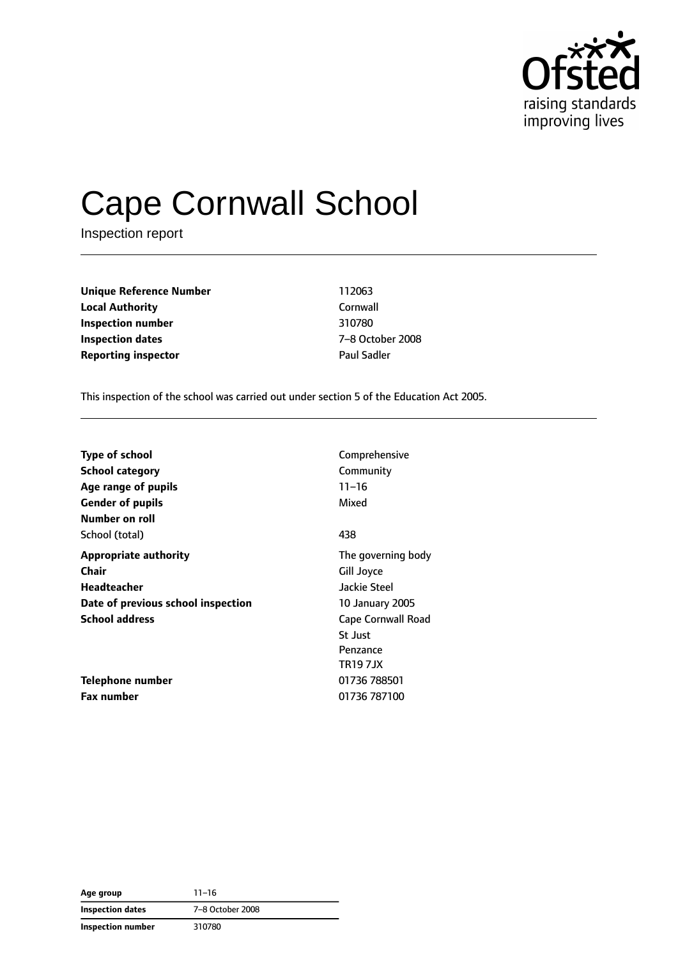

# Cape Cornwall School

Inspection report

**Unique Reference Number** 112063 **Local Authority** Cornwall **Inspection number** 310780 **Inspection dates** 7–8 October 2008 **Reporting inspector CONSERVING PAUL SAMPLE PAUL Sadder** 

This inspection of the school was carried out under section 5 of the Education Act 2005.

| <b>Type of school</b>              | Comprehensive      |
|------------------------------------|--------------------|
| <b>School category</b>             | Community          |
| Age range of pupils                | $11 - 16$          |
| <b>Gender of pupils</b>            | Mixed              |
| Number on roll                     |                    |
| School (total)                     | 438                |
| <b>Appropriate authority</b>       | The governing body |
| Chair                              | Gill Joyce         |
| Headteacher                        | Jackie Steel       |
| Date of previous school inspection | 10 January 2005    |
| <b>School address</b>              | Cape Cornwall Road |
|                                    | <b>St Just</b>     |
|                                    | Penzance           |
|                                    | <b>TR197JX</b>     |
| Telephone number                   | 01736 788501       |
| <b>Fax number</b>                  | 01736 787100       |

| Age group         | $11 - 16$        |
|-------------------|------------------|
| Inspection dates  | 7-8 October 2008 |
| Inspection number | 310780           |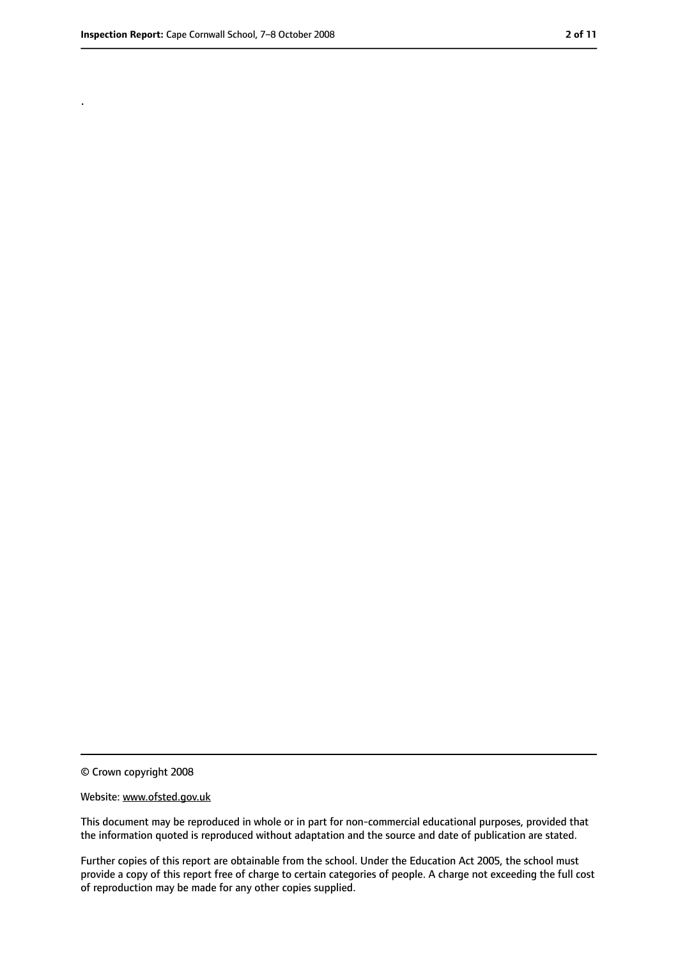.

<sup>©</sup> Crown copyright 2008

Website: www.ofsted.gov.uk

This document may be reproduced in whole or in part for non-commercial educational purposes, provided that the information quoted is reproduced without adaptation and the source and date of publication are stated.

Further copies of this report are obtainable from the school. Under the Education Act 2005, the school must provide a copy of this report free of charge to certain categories of people. A charge not exceeding the full cost of reproduction may be made for any other copies supplied.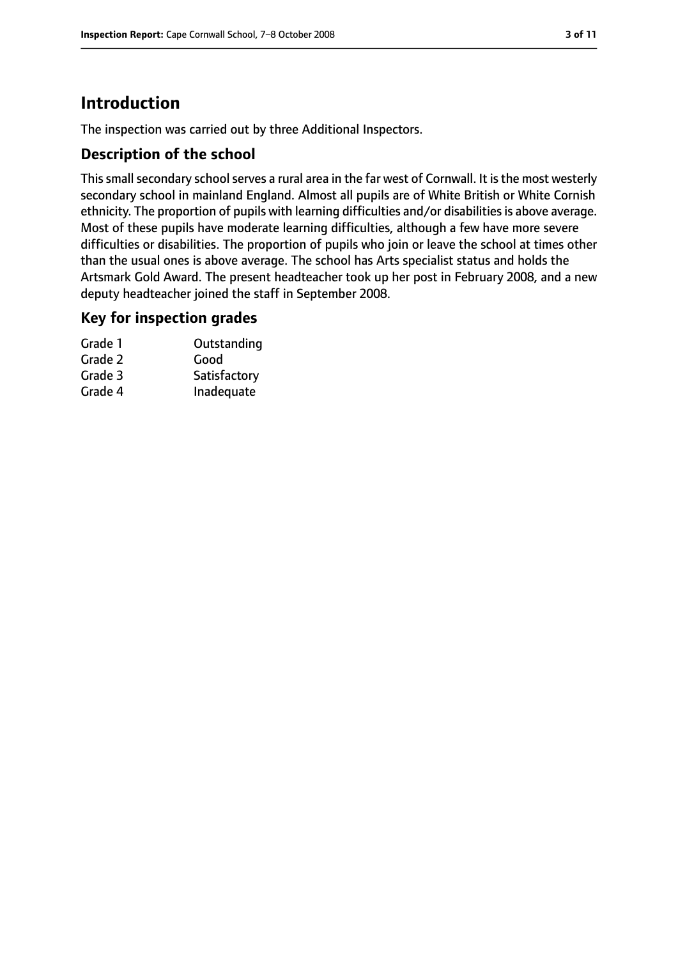# **Introduction**

The inspection was carried out by three Additional Inspectors.

## **Description of the school**

This small secondary school serves a rural area in the far west of Cornwall. It is the most westerly secondary school in mainland England. Almost all pupils are of White British or White Cornish ethnicity. The proportion of pupils with learning difficulties and/or disabilities is above average. Most of these pupils have moderate learning difficulties, although a few have more severe difficulties or disabilities. The proportion of pupils who join or leave the school at times other than the usual ones is above average. The school has Arts specialist status and holds the Artsmark Gold Award. The present headteacher took up her post in February 2008, and a new deputy headteacher joined the staff in September 2008.

#### **Key for inspection grades**

| Grade 1 | Outstanding  |
|---------|--------------|
| Grade 2 | Good         |
| Grade 3 | Satisfactory |
| Grade 4 | Inadequate   |
|         |              |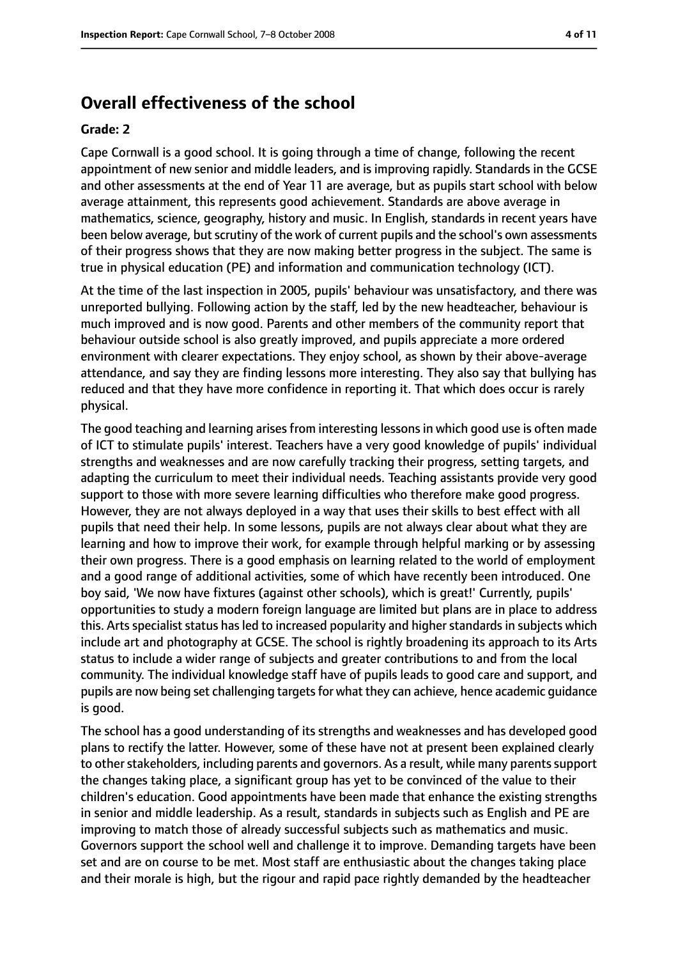# **Overall effectiveness of the school**

#### **Grade: 2**

Cape Cornwall is a good school. It is going through a time of change, following the recent appointment of new senior and middle leaders, and is improving rapidly. Standards in the GCSE and other assessments at the end of Year 11 are average, but as pupils start school with below average attainment, this represents good achievement. Standards are above average in mathematics, science, geography, history and music. In English, standards in recent years have been below average, but scrutiny of the work of current pupils and the school's own assessments of their progress shows that they are now making better progress in the subject. The same is true in physical education (PE) and information and communication technology (ICT).

At the time of the last inspection in 2005, pupils' behaviour was unsatisfactory, and there was unreported bullying. Following action by the staff, led by the new headteacher, behaviour is much improved and is now good. Parents and other members of the community report that behaviour outside school is also greatly improved, and pupils appreciate a more ordered environment with clearer expectations. They enjoy school, as shown by their above-average attendance, and say they are finding lessons more interesting. They also say that bullying has reduced and that they have more confidence in reporting it. That which does occur is rarely physical.

The good teaching and learning arises from interesting lessons in which good use is often made of ICT to stimulate pupils' interest. Teachers have a very good knowledge of pupils' individual strengths and weaknesses and are now carefully tracking their progress, setting targets, and adapting the curriculum to meet their individual needs. Teaching assistants provide very good support to those with more severe learning difficulties who therefore make good progress. However, they are not always deployed in a way that uses their skills to best effect with all pupils that need their help. In some lessons, pupils are not always clear about what they are learning and how to improve their work, for example through helpful marking or by assessing their own progress. There is a good emphasis on learning related to the world of employment and a good range of additional activities, some of which have recently been introduced. One boy said, 'We now have fixtures (against other schools), which is great!' Currently, pupils' opportunities to study a modern foreign language are limited but plans are in place to address this. Arts specialist status has led to increased popularity and higher standards in subjects which include art and photography at GCSE. The school is rightly broadening its approach to its Arts status to include a wider range of subjects and greater contributions to and from the local community. The individual knowledge staff have of pupils leads to good care and support, and pupils are now being set challenging targets for what they can achieve, hence academic guidance is good.

The school has a good understanding of its strengths and weaknesses and has developed good plans to rectify the latter. However, some of these have not at present been explained clearly to other stakeholders, including parents and governors. As a result, while many parents support the changes taking place, a significant group has yet to be convinced of the value to their children's education. Good appointments have been made that enhance the existing strengths in senior and middle leadership. As a result, standards in subjects such as English and PE are improving to match those of already successful subjects such as mathematics and music. Governors support the school well and challenge it to improve. Demanding targets have been set and are on course to be met. Most staff are enthusiastic about the changes taking place and their morale is high, but the rigour and rapid pace rightly demanded by the headteacher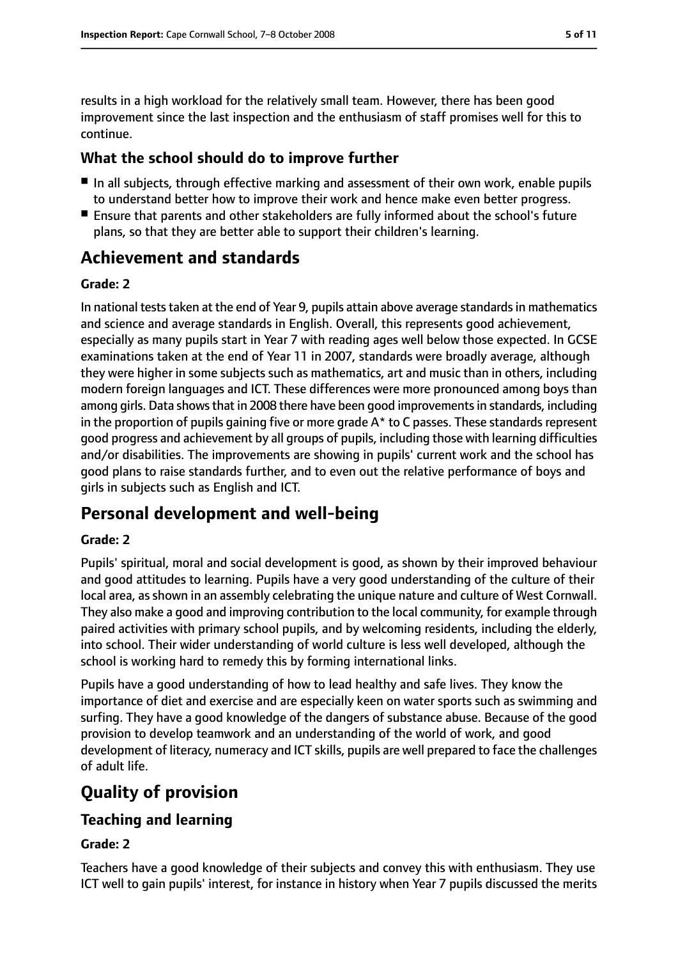results in a high workload for the relatively small team. However, there has been good improvement since the last inspection and the enthusiasm of staff promises well for this to continue.

## **What the school should do to improve further**

- In all subjects, through effective marking and assessment of their own work, enable pupils to understand better how to improve their work and hence make even better progress.
- Ensure that parents and other stakeholders are fully informed about the school's future plans, so that they are better able to support their children's learning.

# **Achievement and standards**

#### **Grade: 2**

In national tests taken at the end of Year 9, pupils attain above average standards in mathematics and science and average standards in English. Overall, this represents good achievement, especially as many pupils start in Year 7 with reading ages well below those expected. In GCSE examinations taken at the end of Year 11 in 2007, standards were broadly average, although they were higher in some subjects such as mathematics, art and music than in others, including modern foreign languages and ICT. These differences were more pronounced among boys than among girls. Data shows that in 2008 there have been good improvements in standards, including in the proportion of pupils gaining five or more grade  $A^*$  to C passes. These standards represent good progress and achievement by all groups of pupils, including those with learning difficulties and/or disabilities. The improvements are showing in pupils' current work and the school has good plans to raise standards further, and to even out the relative performance of boys and girls in subjects such as English and ICT.

# **Personal development and well-being**

#### **Grade: 2**

Pupils' spiritual, moral and social development is good, as shown by their improved behaviour and good attitudes to learning. Pupils have a very good understanding of the culture of their local area, as shown in an assembly celebrating the unique nature and culture of West Cornwall. They also make a good and improving contribution to the local community, for example through paired activities with primary school pupils, and by welcoming residents, including the elderly, into school. Their wider understanding of world culture is less well developed, although the school is working hard to remedy this by forming international links.

Pupils have a good understanding of how to lead healthy and safe lives. They know the importance of diet and exercise and are especially keen on water sports such as swimming and surfing. They have a good knowledge of the dangers of substance abuse. Because of the good provision to develop teamwork and an understanding of the world of work, and good development of literacy, numeracy and ICT skills, pupils are well prepared to face the challenges of adult life.

# **Quality of provision**

## **Teaching and learning**

#### **Grade: 2**

Teachers have a good knowledge of their subjects and convey this with enthusiasm. They use ICT well to gain pupils' interest, for instance in history when Year 7 pupils discussed the merits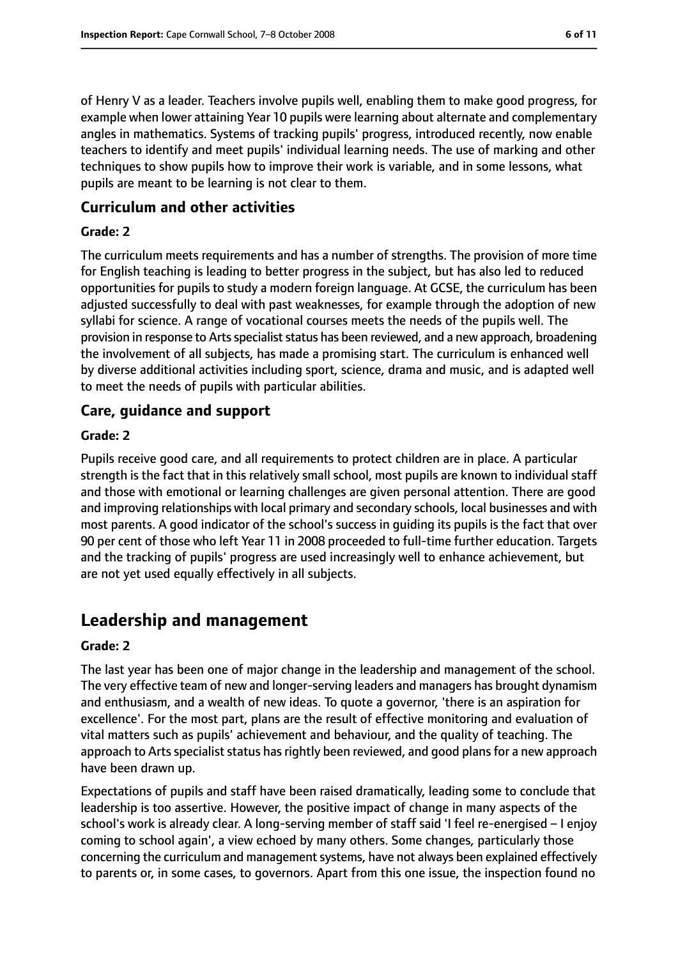of Henry V as a leader. Teachers involve pupils well, enabling them to make good progress, for example when lower attaining Year 10 pupils were learning about alternate and complementary angles in mathematics. Systems of tracking pupils' progress, introduced recently, now enable teachers to identify and meet pupils' individual learning needs. The use of marking and other techniques to show pupils how to improve their work is variable, and in some lessons, what pupils are meant to be learning is not clear to them.

## **Curriculum and other activities**

#### **Grade: 2**

The curriculum meets requirements and has a number of strengths. The provision of more time for English teaching is leading to better progress in the subject, but has also led to reduced opportunities for pupils to study a modern foreign language. At GCSE, the curriculum has been adjusted successfully to deal with past weaknesses, for example through the adoption of new syllabi for science. A range of vocational courses meets the needs of the pupils well. The provision in response to Arts specialist status has been reviewed, and a new approach, broadening the involvement of all subjects, has made a promising start. The curriculum is enhanced well by diverse additional activities including sport, science, drama and music, and is adapted well to meet the needs of pupils with particular abilities.

#### **Care, guidance and support**

#### **Grade: 2**

Pupils receive good care, and all requirements to protect children are in place. A particular strength is the fact that in this relatively small school, most pupils are known to individual staff and those with emotional or learning challenges are given personal attention. There are good and improving relationships with local primary and secondary schools, local businesses and with most parents. A good indicator of the school's success in guiding its pupils is the fact that over 90 per cent of those who left Year 11 in 2008 proceeded to full-time further education. Targets and the tracking of pupils' progress are used increasingly well to enhance achievement, but are not yet used equally effectively in all subjects.

# **Leadership and management**

#### **Grade: 2**

The last year has been one of major change in the leadership and management of the school. The very effective team of new and longer-serving leaders and managers has brought dynamism and enthusiasm, and a wealth of new ideas. To quote a governor, 'there is an aspiration for excellence'. For the most part, plans are the result of effective monitoring and evaluation of vital matters such as pupils' achievement and behaviour, and the quality of teaching. The approach to Arts specialist status has rightly been reviewed, and good plans for a new approach have been drawn up.

Expectations of pupils and staff have been raised dramatically, leading some to conclude that leadership is too assertive. However, the positive impact of change in many aspects of the school's work is already clear. A long-serving member of staff said 'I feel re-energised – I enjoy coming to school again', a view echoed by many others. Some changes, particularly those concerning the curriculum and management systems, have not always been explained effectively to parents or, in some cases, to governors. Apart from this one issue, the inspection found no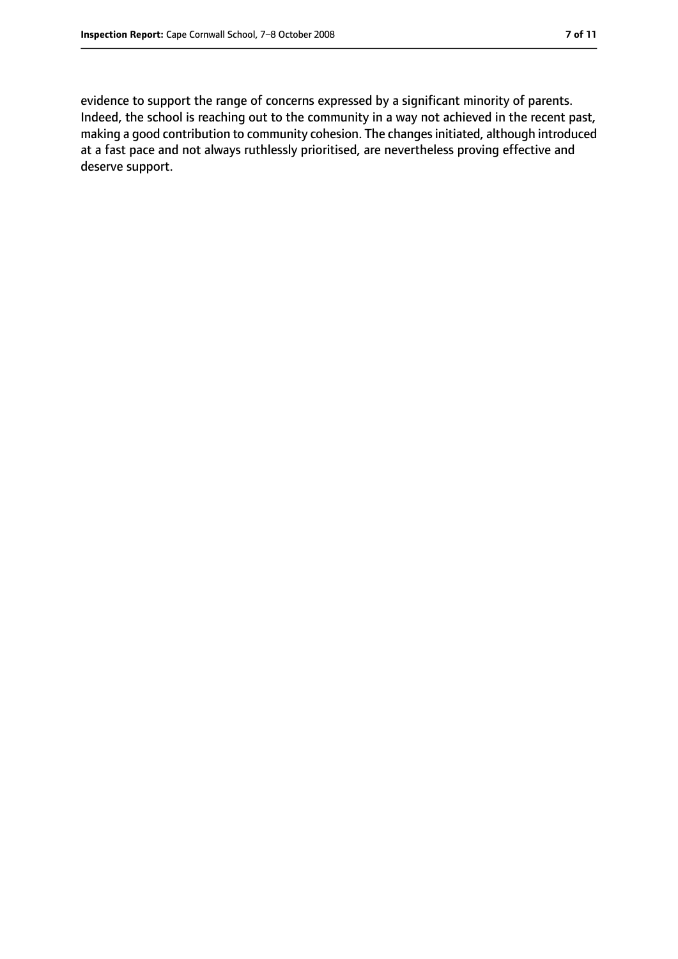evidence to support the range of concerns expressed by a significant minority of parents. Indeed, the school is reaching out to the community in a way not achieved in the recent past, making a good contribution to community cohesion. The changesinitiated, although introduced at a fast pace and not always ruthlessly prioritised, are nevertheless proving effective and deserve support.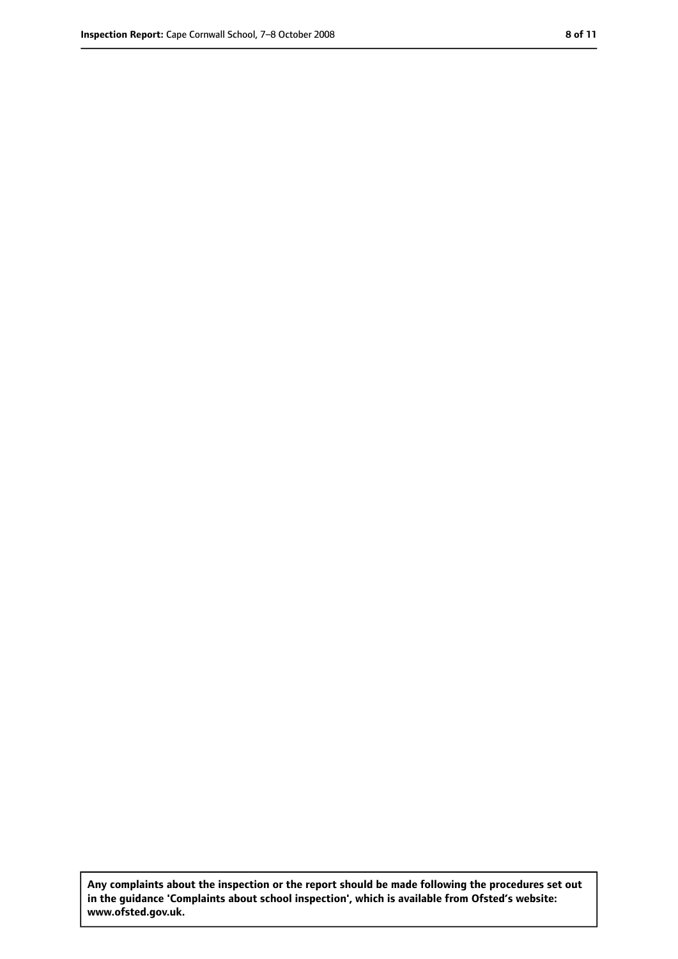**Any complaints about the inspection or the report should be made following the procedures set out in the guidance 'Complaints about school inspection', which is available from Ofsted's website: www.ofsted.gov.uk.**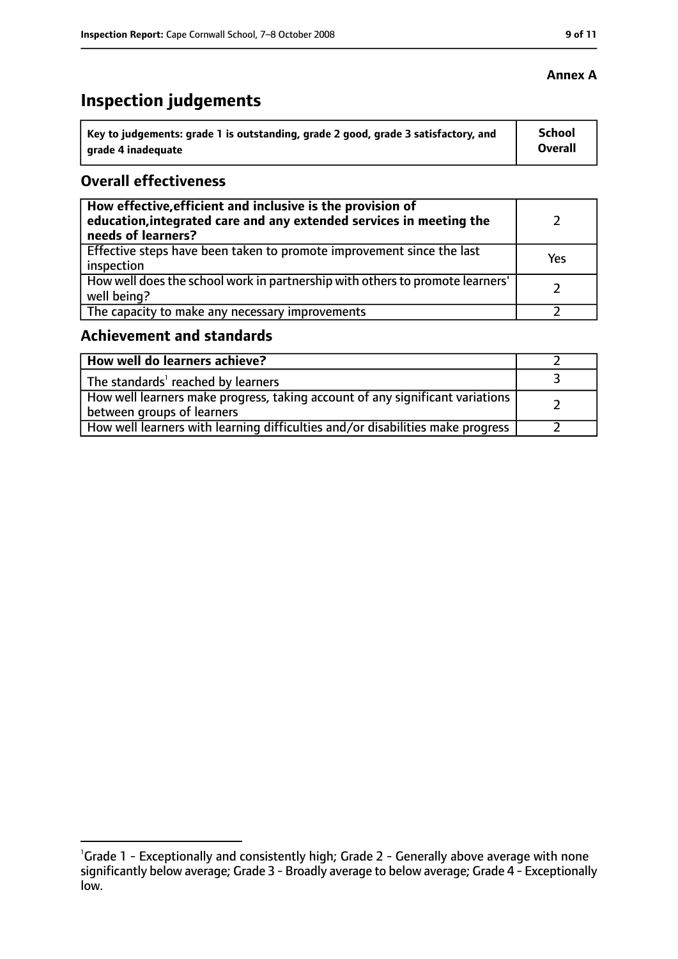# **Inspection judgements**

| ˈ Key to judgements: grade 1 is outstanding, grade 2 good, grade 3 satisfactory, and | <b>School</b>  |
|--------------------------------------------------------------------------------------|----------------|
| arade 4 inadequate                                                                   | <b>Overall</b> |

## **Overall effectiveness**

| How effective, efficient and inclusive is the provision of<br>education, integrated care and any extended services in meeting the<br>needs of learners? |     |
|---------------------------------------------------------------------------------------------------------------------------------------------------------|-----|
| Effective steps have been taken to promote improvement since the last<br>inspection                                                                     | Yes |
| How well does the school work in partnership with others to promote learners'<br>well being?                                                            |     |
| The capacity to make any necessary improvements                                                                                                         |     |

# **Achievement and standards**

| How well do learners achieve?                                                                                 |  |
|---------------------------------------------------------------------------------------------------------------|--|
| The standards <sup>1</sup> reached by learners                                                                |  |
| How well learners make progress, taking account of any significant variations  <br>between groups of learners |  |
| How well learners with learning difficulties and/or disabilities make progress                                |  |

## **Annex A**

<sup>&</sup>lt;sup>1</sup>Grade 1 - Exceptionally and consistently high; Grade 2 - Generally above average with none significantly below average; Grade 3 - Broadly average to below average; Grade 4 - Exceptionally low.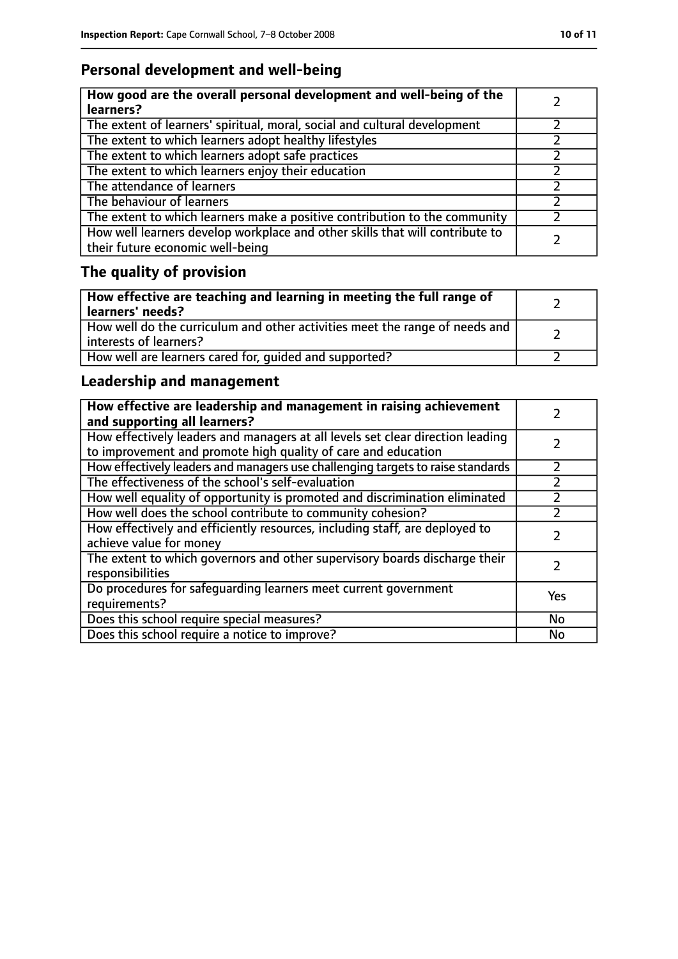# **Personal development and well-being**

| How good are the overall personal development and well-being of the<br>learners?                                 |  |
|------------------------------------------------------------------------------------------------------------------|--|
| The extent of learners' spiritual, moral, social and cultural development                                        |  |
| The extent to which learners adopt healthy lifestyles                                                            |  |
| The extent to which learners adopt safe practices                                                                |  |
| The extent to which learners enjoy their education                                                               |  |
| The attendance of learners                                                                                       |  |
| The behaviour of learners                                                                                        |  |
| The extent to which learners make a positive contribution to the community                                       |  |
| How well learners develop workplace and other skills that will contribute to<br>their future economic well-being |  |

# **The quality of provision**

| How effective are teaching and learning in meeting the full range of<br>learners' needs?              |  |
|-------------------------------------------------------------------------------------------------------|--|
| How well do the curriculum and other activities meet the range of needs and<br>interests of learners? |  |
| How well are learners cared for, quided and supported?                                                |  |

# **Leadership and management**

| How effective are leadership and management in raising achievement<br>and supporting all learners?                                              |     |
|-------------------------------------------------------------------------------------------------------------------------------------------------|-----|
| How effectively leaders and managers at all levels set clear direction leading<br>to improvement and promote high quality of care and education |     |
| How effectively leaders and managers use challenging targets to raise standards                                                                 |     |
| The effectiveness of the school's self-evaluation                                                                                               |     |
| How well equality of opportunity is promoted and discrimination eliminated                                                                      |     |
| How well does the school contribute to community cohesion?                                                                                      |     |
| How effectively and efficiently resources, including staff, are deployed to<br>achieve value for money                                          |     |
| The extent to which governors and other supervisory boards discharge their<br>responsibilities                                                  |     |
| Do procedures for safequarding learners meet current government<br>requirements?                                                                | Yes |
| Does this school require special measures?                                                                                                      | No  |
| Does this school require a notice to improve?                                                                                                   | No  |